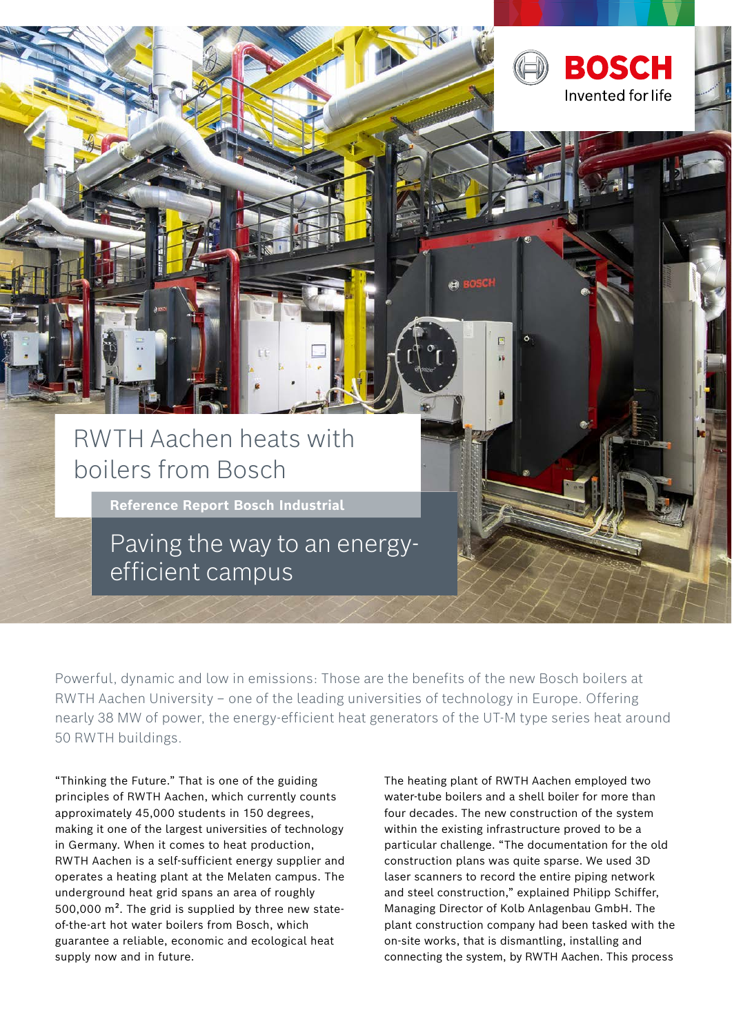

Powerful, dynamic and low in emissions: Those are the benefits of the new Bosch boilers at RWTH Aachen University – one of the leading universities of technology in Europe. Offering nearly 38 MW of power, the energy-efficient heat generators of the UT-M type series heat around 50 RWTH buildings.

"Thinking the Future." That is one of the guiding principles of RWTH Aachen, which currently counts approximately 45,000 students in 150 degrees, making it one of the largest universities of technology in Germany. When it comes to heat production, RWTH Aachen is a self-sufficient energy supplier and operates a heating plant at the Melaten campus. The underground heat grid spans an area of roughly 500,000 m². The grid is supplied by three new stateof-the-art hot water boilers from Bosch, which guarantee a reliable, economic and ecological heat supply now and in future.

The heating plant of RWTH Aachen employed two water-tube boilers and a shell boiler for more than four decades. The new construction of the system within the existing infrastructure proved to be a particular challenge. "The documentation for the old construction plans was quite sparse. We used 3D laser scanners to record the entire piping network and steel construction," explained Philipp Schiffer, Managing Director of Kolb Anlagenbau GmbH. The plant construction company had been tasked with the on-site works, that is dismantling, installing and connecting the system, by RWTH Aachen. This process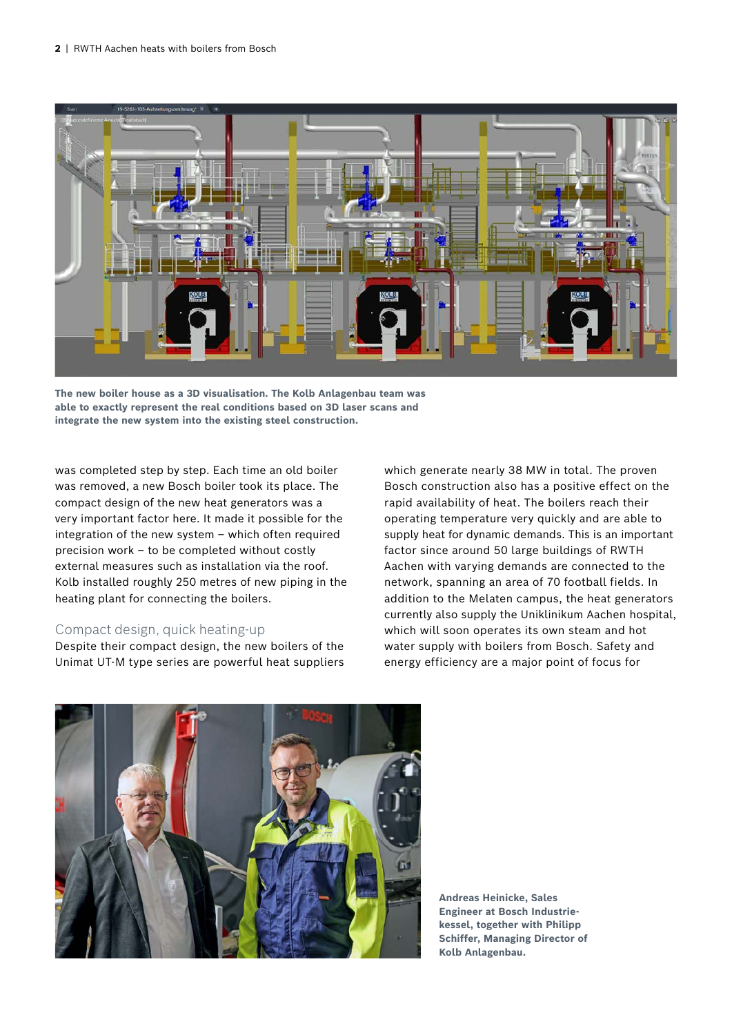

**The new boiler house as a 3D visualisation. The Kolb Anlagenbau team was able to exactly represent the real conditions based on 3D laser scans and integrate the new system into the existing steel construction.** 

was completed step by step. Each time an old boiler was removed, a new Bosch boiler took its place. The compact design of the new heat generators was a very important factor here. It made it possible for the integration of the new system – which often required precision work – to be completed without costly external measures such as installation via the roof. Kolb installed roughly 250 metres of new piping in the heating plant for connecting the boilers.

### Compact design, quick heating-up

Despite their compact design, the new boilers of the Unimat UT-M type series are powerful heat suppliers which generate nearly 38 MW in total. The proven Bosch construction also has a positive effect on the rapid availability of heat. The boilers reach their operating temperature very quickly and are able to supply heat for dynamic demands. This is an important factor since around 50 large buildings of RWTH Aachen with varying demands are connected to the network, spanning an area of 70 football fields. In addition to the Melaten campus, the heat generators currently also supply the Uniklinikum Aachen hospital, which will soon operates its own steam and hot water supply with boilers from Bosch. Safety and energy efficiency are a major point of focus for



**Andreas Heinicke, Sales Engineer at Bosch Industriekessel, together with Philipp Schiffer, Managing Director of Kolb Anlagenbau.**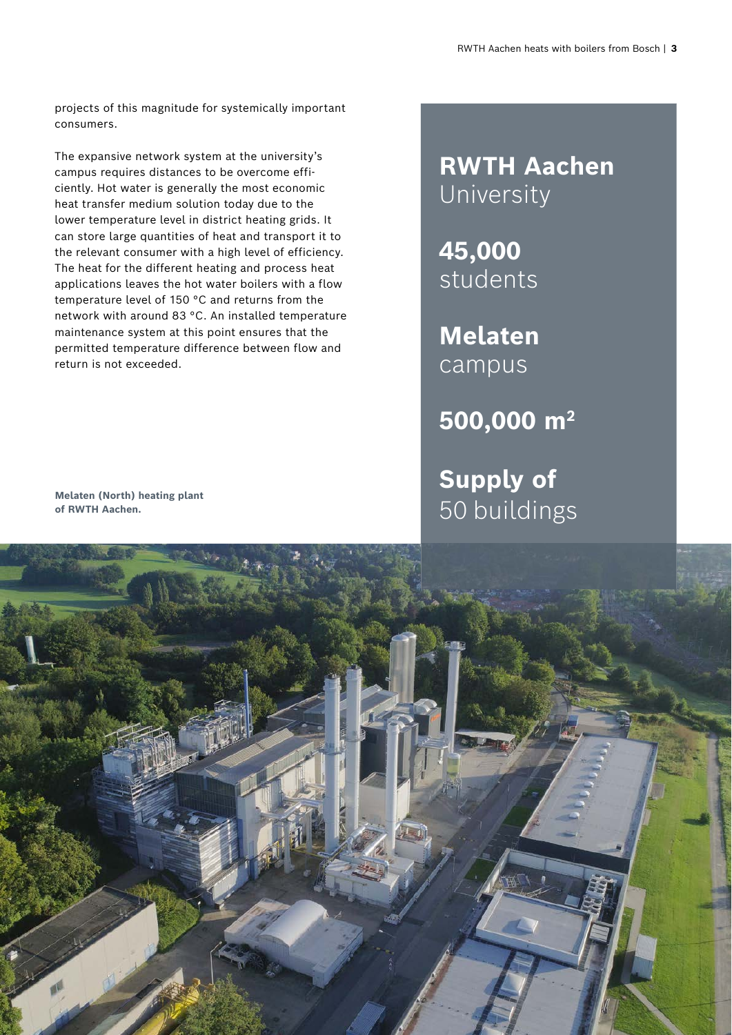projects of this magnitude for systemically important consumers.

The expansive network system at the university's campus requires distances to be overcome efficiently. Hot water is generally the most economic heat transfer medium solution today due to the lower temperature level in district heating grids. It can store large quantities of heat and transport it to the relevant consumer with a high level of efficiency. The heat for the different heating and process heat applications leaves the hot water boilers with a flow temperature level of 150 °C and returns from the network with around 83 °C. An installed temperature maintenance system at this point ensures that the permitted temperature difference between flow and return is not exceeded.

## **RWTH Aachen** University

**45,000**  students

**Melaten**  campus

**500,000 m2**

**Supply of** Melaten (North) heating plant **Melaten (North) heating plant Melaten (North) heating plant** 



**of RWTH Aachen.**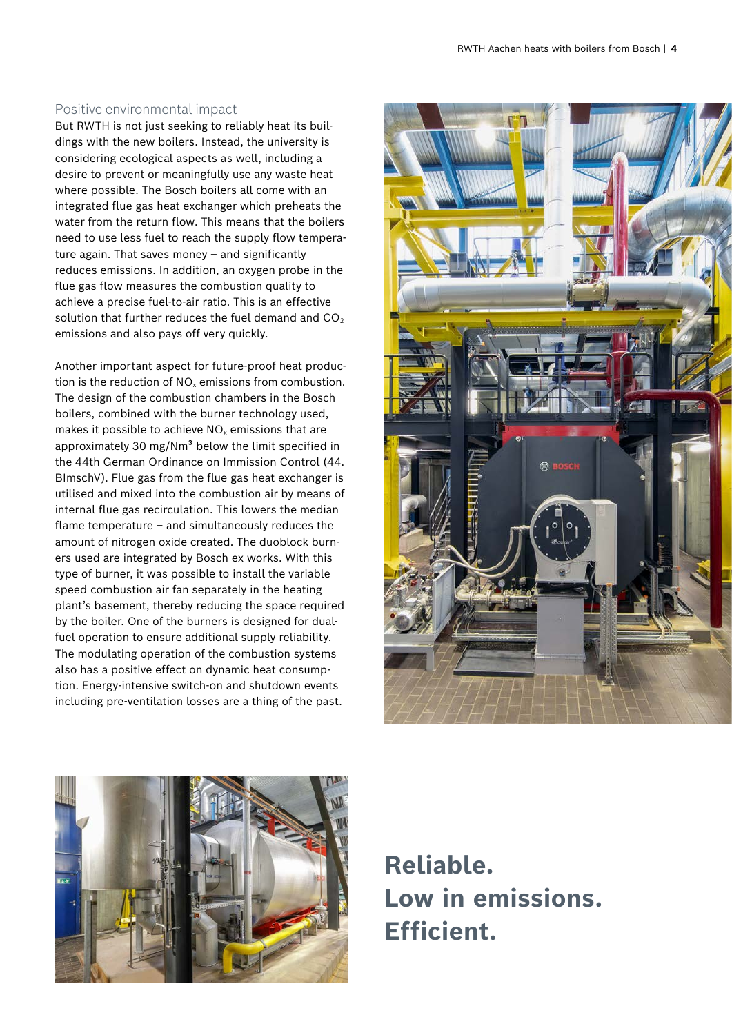### Positive environmental impact

But RWTH is not just seeking to reliably heat its buildings with the new boilers. Instead, the university is considering ecological aspects as well, including a desire to prevent or meaningfully use any waste heat where possible. The Bosch boilers all come with an integrated flue gas heat exchanger which preheats the water from the return flow. This means that the boilers need to use less fuel to reach the supply flow temperature again. That saves money – and significantly reduces emissions. In addition, an oxygen probe in the flue gas flow measures the combustion quality to achieve a precise fuel-to-air ratio. This is an effective solution that further reduces the fuel demand and  $CO<sub>2</sub>$ emissions and also pays off very quickly.

Another important aspect for future-proof heat production is the reduction of  $NO<sub>x</sub>$  emissions from combustion. The design of the combustion chambers in the Bosch boilers, combined with the burner technology used, makes it possible to achieve  $NO<sub>x</sub>$  emissions that are approximately 30 mg/Nm<sup>3</sup> below the limit specified in the 44th German Ordinance on Immission Control (44. BImschV). Flue gas from the flue gas heat exchanger is utilised and mixed into the combustion air by means of internal flue gas recirculation. This lowers the median flame temperature – and simultaneously reduces the amount of nitrogen oxide created. The duoblock burners used are integrated by Bosch ex works. With this type of burner, it was possible to install the variable speed combustion air fan separately in the heating plant's basement, thereby reducing the space required by the boiler. One of the burners is designed for dualfuel operation to ensure additional supply reliability. The modulating operation of the combustion systems also has a positive effect on dynamic heat consumption. Energy-intensive switch-on and shutdown events including pre-ventilation losses are a thing of the past.





**Reliable. Low in emissions. Efficient.**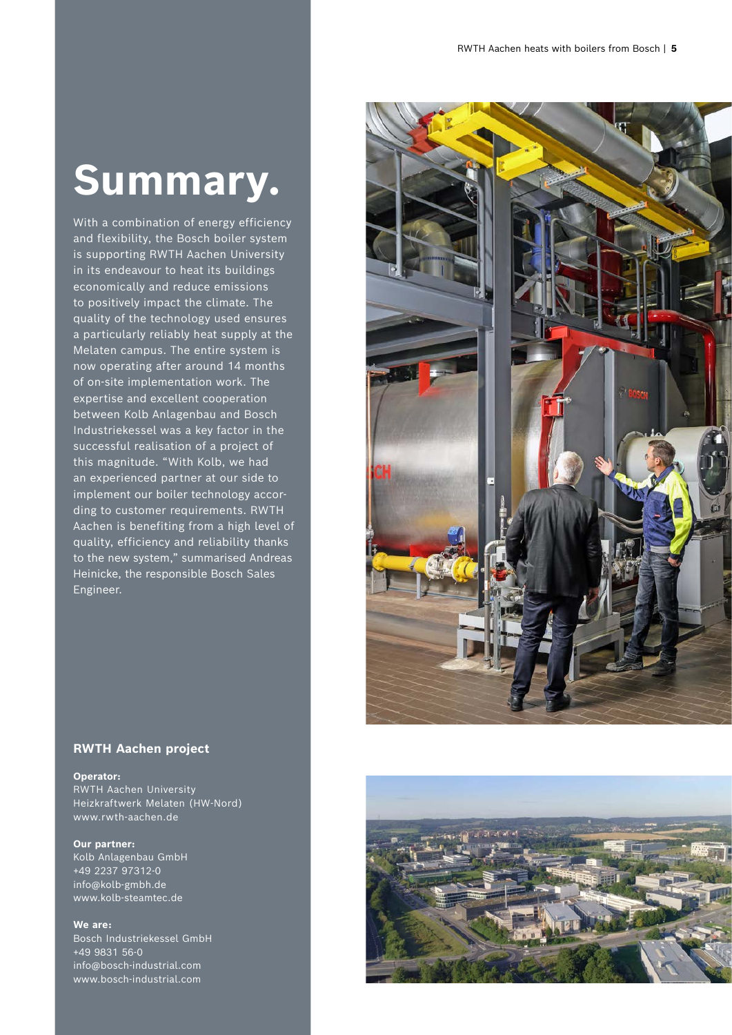# **Summary.**

With a combination of energy efficiency and flexibility, the Bosch boiler system is supporting RWTH Aachen University in its endeavour to heat its buildings economically and reduce emissions to positively impact the climate. The quality of the technology used ensures a particularly reliably heat supply at the Melaten campus. The entire system is now operating after around 14 months of on-site implementation work. The expertise and excellent cooperation between Kolb Anlagenbau and Bosch Industriekessel was a key factor in the successful realisation of a project of this magnitude. "With Kolb, we had an experienced partner at our side to implement our boiler technology according to customer requirements. RWTH Aachen is benefiting from a high level of quality, efficiency and reliability thanks to the new system," summarised Andreas Heinicke, the responsible Bosch Sales Engineer.



#### **RWTH Aachen project**

**Operator:**

RWTH Aachen University Heizkraftwerk Melaten (HW-Nord) www.rwth-aachen.de

**Our partner:**  Kolb Anlagenbau GmbH +49 2237 97312-0 info@kolb-gmbh.de www.kolb-steamtec.de

**We are:** Bosch Industriekessel GmbH +49 9831 56-0 info@bosch-industrial.com www.bosch-industrial.com